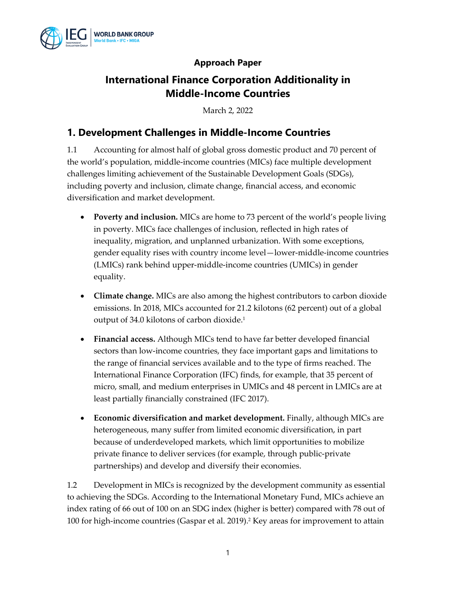

### **Approach Paper**

# **International Finance Corporation Additionality in Middle-Income Countries**

March 2, 2022

### **1. Development Challenges in Middle-Income Countries**

1.1 Accounting for almost half of global gross domestic product and 70 percent of the world's population, middle-income countries (MICs) face multiple development challenges limiting achievement of the Sustainable Development Goals (SDGs), including poverty and inclusion, climate change, financial access, and economic diversification and market development.

- **Poverty and inclusion.** MICs are home to 73 percent of the world's people living in poverty. MICs face challenges of inclusion, reflected in high rates of inequality, migration, and unplanned urbanization. With some exceptions, gender equality rises with country income level—lower-middle-income countries (LMICs) rank behind upper-middle-income countries (UMICs) in gender equality.
- **Climate change.** MICs are also among the highest contributors to carbon dioxide emissions. In 2018, MICs accounted for 21.2 kilotons (62 percent) out of a global output of 34.0 kilotons of carbon dioxide. 1
- **Financial access.** Although MICs tend to have far better developed financial sectors than low-income countries, they face important gaps and limitations to the range of financial services available and to the type of firms reached. The International Finance Corporation (IFC) finds, for example, that 35 percent of micro, small, and medium enterprises in UMICs and 48 percent in LMICs are at least partially financially constrained (IFC 2017).
- **Economic diversification and market development.** Finally, although MICs are heterogeneous, many suffer from limited economic diversification, in part because of underdeveloped markets, which limit opportunities to mobilize private finance to deliver services (for example, through public-private partnerships) and develop and diversify their economies.

1.2 Development in MICs is recognized by the development community as essential to achieving the SDGs. According to the International Monetary Fund, MICs achieve an index rating of 66 out of 100 on an SDG index (higher is better) compared with 78 out of 100 for high-income countries (Gaspar et al. 2019).<sup>2</sup> Key areas for improvement to attain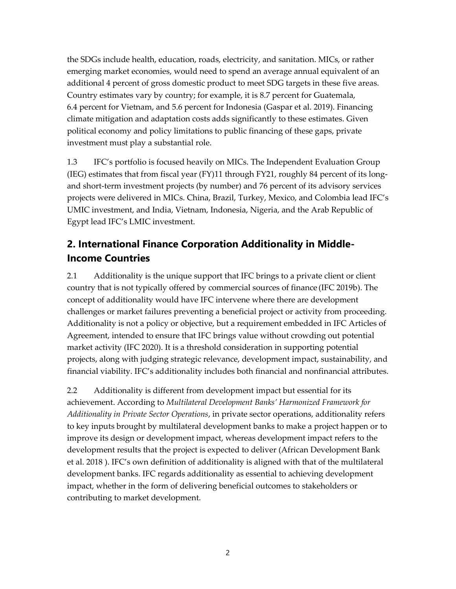the SDGs include health, education, roads, electricity, and sanitation. MICs, or rather emerging market economies, would need to spend an average annual equivalent of an additional 4 percent of gross domestic product to meet SDG targets in these five areas. Country estimates vary by country; for example, it is 8.7 percent for Guatemala, 6.4 percent for Vietnam, and 5.6 percent for Indonesia (Gaspar et al. 2019). Financing climate mitigation and adaptation costs adds significantly to these estimates. Given political economy and policy limitations to public financing of these gaps, private investment must play a substantial role.

1.3 IFC's portfolio is focused heavily on MICs. The Independent Evaluation Group (IEG) estimates that from fiscal year (FY)11 through FY21, roughly 84 percent of its longand short-term investment projects (by number) and 76 percent of its advisory services projects were delivered in MICs. China, Brazil, Turkey, Mexico, and Colombia lead IFC's UMIC investment, and India, Vietnam, Indonesia, Nigeria, and the Arab Republic of Egypt lead IFC's LMIC investment.

# **2. International Finance Corporation Additionality in Middle-Income Countries**

2.1 Additionality is the unique support that IFC brings to a private client or client country that is not typically offered by commercial sources of finance (IFC 2019b). The concept of additionality would have IFC intervene where there are development challenges or market failures preventing a beneficial project or activity from proceeding. Additionality is not a policy or objective, but a requirement embedded in IFC Articles of Agreement, intended to ensure that IFC brings value without crowding out potential market activity (IFC 2020). It is a threshold consideration in supporting potential projects, along with judging strategic relevance, development impact, sustainability, and financial viability. IFC's additionality includes both financial and nonfinancial attributes.

2.2 Additionality is different from development impact but essential for its achievement. According to *Multilateral Development Banks' Harmonized Framework for Additionality in Private Sector Operations*, in private sector operations, additionality refers to key inputs brought by multilateral development banks to make a project happen or to improve its design or development impact, whereas development impact refers to the development results that the project is expected to deliver (African Development Bank et al. 2018 ). IFC's own definition of additionality is aligned with that of the multilateral development banks. IFC regards additionality as essential to achieving development impact, whether in the form of delivering beneficial outcomes to stakeholders or contributing to market development.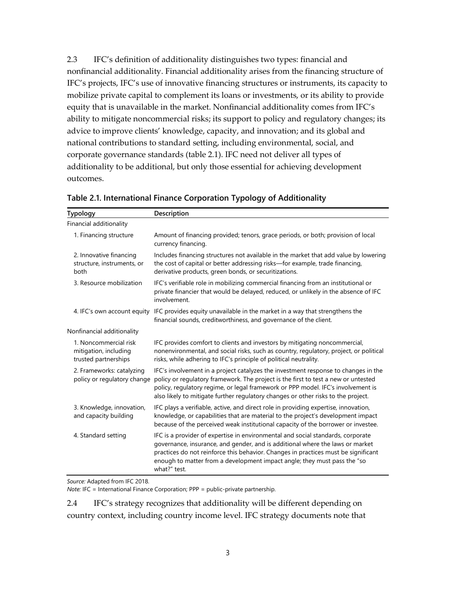2.3 IFC's definition of additionality distinguishes two types: financial and nonfinancial additionality. Financial additionality arises from the financing structure of IFC's projects, IFC's use of innovative financing structures or instruments, its capacity to mobilize private capital to complement its loans or investments, or its ability to provide equity that is unavailable in the market. Nonfinancial additionality comes from IFC's ability to mitigate noncommercial risks; its support to policy and regulatory changes; its advice to improve clients' knowledge, capacity, and innovation; and its global and national contributions to standard setting, including environmental, social, and corporate governance standards (table 2.1). IFC need not deliver all types of additionality to be additional, but only those essential for achieving development outcomes.

| <b>Typology</b>                                                        | Description                                                                                                                                                                                                                                                                                                                                        |
|------------------------------------------------------------------------|----------------------------------------------------------------------------------------------------------------------------------------------------------------------------------------------------------------------------------------------------------------------------------------------------------------------------------------------------|
| Financial additionality                                                |                                                                                                                                                                                                                                                                                                                                                    |
| 1. Financing structure                                                 | Amount of financing provided; tenors, grace periods, or both; provision of local<br>currency financing.                                                                                                                                                                                                                                            |
| 2. Innovative financing<br>structure, instruments, or<br>both          | Includes financing structures not available in the market that add value by lowering<br>the cost of capital or better addressing risks-for example, trade financing,<br>derivative products, green bonds, or securitizations.                                                                                                                      |
| 3. Resource mobilization                                               | IFC's verifiable role in mobilizing commercial financing from an institutional or<br>private financier that would be delayed, reduced, or unlikely in the absence of IFC<br>involvement.                                                                                                                                                           |
| 4. IFC's own account equity                                            | IFC provides equity unavailable in the market in a way that strengthens the<br>financial sounds, creditworthiness, and governance of the client.                                                                                                                                                                                                   |
| Nonfinancial additionality                                             |                                                                                                                                                                                                                                                                                                                                                    |
| 1. Noncommercial risk<br>mitigation, including<br>trusted partnerships | IFC provides comfort to clients and investors by mitigating noncommercial,<br>nonenvironmental, and social risks, such as country, regulatory, project, or political<br>risks, while adhering to IFC's principle of political neutrality.                                                                                                          |
| 2. Frameworks: catalyzing<br>policy or regulatory change               | IFC's involvement in a project catalyzes the investment response to changes in the<br>policy or regulatory framework. The project is the first to test a new or untested<br>policy, regulatory regime, or legal framework or PPP model. IFC's involvement is<br>also likely to mitigate further regulatory changes or other risks to the project.  |
| 3. Knowledge, innovation,<br>and capacity building                     | IFC plays a verifiable, active, and direct role in providing expertise, innovation,<br>knowledge, or capabilities that are material to the project's development impact<br>because of the perceived weak institutional capacity of the borrower or investee.                                                                                       |
| 4. Standard setting                                                    | IFC is a provider of expertise in environmental and social standards, corporate<br>governance, insurance, and gender, and is additional where the laws or market<br>practices do not reinforce this behavior. Changes in practices must be significant<br>enough to matter from a development impact angle; they must pass the "so<br>what?" test. |

*Source:* Adapted from IFC 2018.

*Note:* IFC = International Finance Corporation; PPP = public-private partnership.

2.4 IFC's strategy recognizes that additionality will be different depending on country context, including country income level. IFC strategy documents note that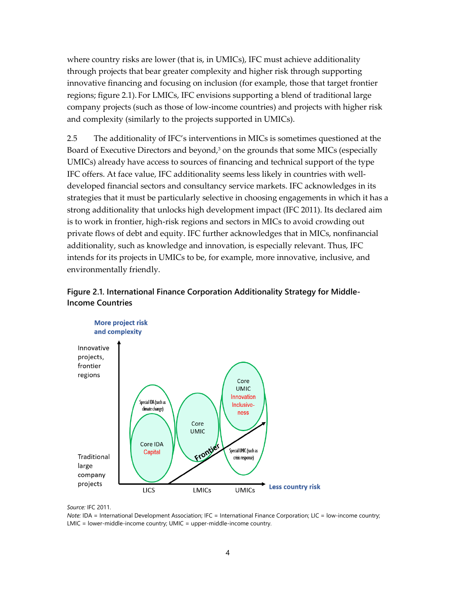where country risks are lower (that is, in UMICs), IFC must achieve additionality through projects that bear greater complexity and higher risk through supporting innovative financing and focusing on inclusion (for example, those that target frontier regions; figure 2.1). For LMICs, IFC envisions supporting a blend of traditional large company projects (such as those of low-income countries) and projects with higher risk and complexity (similarly to the projects supported in UMICs).

2.5 The additionality of IFC's interventions in MICs is sometimes questioned at the Board of Executive Directors and beyond, <sup>3</sup> on the grounds that some MICs (especially UMICs) already have access to sources of financing and technical support of the type IFC offers. At face value, IFC additionality seems less likely in countries with welldeveloped financial sectors and consultancy service markets. IFC acknowledges in its strategies that it must be particularly selective in choosing engagements in which it has a strong additionality that unlocks high development impact (IFC 2011). Its declared aim is to work in frontier, high-risk regions and sectors in MICs to avoid crowding out private flows of debt and equity. IFC further acknowledges that in MICs, nonfinancial additionality, such as knowledge and innovation, is especially relevant. Thus, IFC intends for its projects in UMICs to be, for example, more innovative, inclusive, and environmentally friendly.





*Source:* IFC 2011.

*Note:* IDA = International Development Association; IFC = International Finance Corporation; LIC = low-income country; LMIC = lower-middle-income country; UMIC = upper-middle-income country.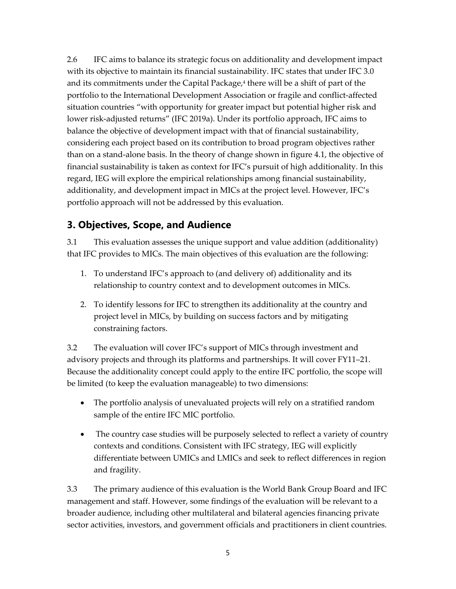2.6 IFC aims to balance its strategic focus on additionality and development impact with its objective to maintain its financial sustainability. IFC states that under IFC 3.0 and its commitments under the Capital Package,<sup>4</sup> there will be a shift of part of the portfolio to the International Development Association or fragile and conflict-affected situation countries "with opportunity for greater impact but potential higher risk and lower risk-adjusted returns" (IFC 2019a). Under its portfolio approach, IFC aims to balance the objective of development impact with that of financial sustainability, considering each project based on its contribution to broad program objectives rather than on a stand-alone basis. In the theory of change shown in figure 4.1, the objective of financial sustainability is taken as context for IFC's pursuit of high additionality. In this regard, IEG will explore the empirical relationships among financial sustainability, additionality, and development impact in MICs at the project level. However, IFC's portfolio approach will not be addressed by this evaluation.

## **3. Objectives, Scope, and Audience**

3.1 This evaluation assesses the unique support and value addition (additionality) that IFC provides to MICs. The main objectives of this evaluation are the following:

- 1. To understand IFC's approach to (and delivery of) additionality and its relationship to country context and to development outcomes in MICs.
- 2. To identify lessons for IFC to strengthen its additionality at the country and project level in MICs, by building on success factors and by mitigating constraining factors.

3.2 The evaluation will cover IFC's support of MICs through investment and advisory projects and through its platforms and partnerships. It will cover FY11–21. Because the additionality concept could apply to the entire IFC portfolio, the scope will be limited (to keep the evaluation manageable) to two dimensions:

- The portfolio analysis of unevaluated projects will rely on a stratified random sample of the entire IFC MIC portfolio.
- The country case studies will be purposely selected to reflect a variety of country contexts and conditions. Consistent with IFC strategy, IEG will explicitly differentiate between UMICs and LMICs and seek to reflect differences in region and fragility.

3.3 The primary audience of this evaluation is the World Bank Group Board and IFC management and staff. However, some findings of the evaluation will be relevant to a broader audience, including other multilateral and bilateral agencies financing private sector activities, investors, and government officials and practitioners in client countries.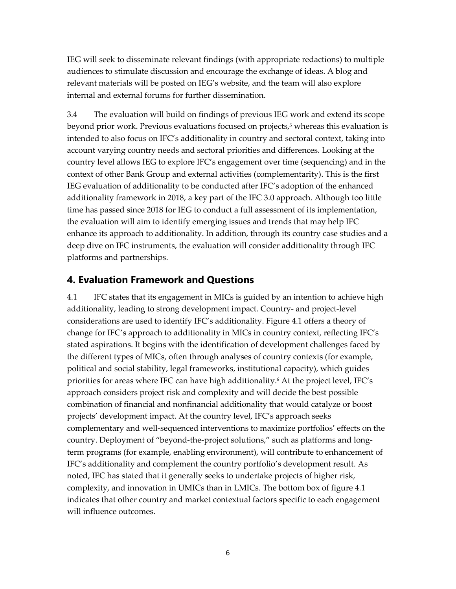IEG will seek to disseminate relevant findings (with appropriate redactions) to multiple audiences to stimulate discussion and encourage the exchange of ideas. A blog and relevant materials will be posted on IEG's website, and the team will also explore internal and external forums for further dissemination.

3.4 The evaluation will build on findings of previous IEG work and extend its scope beyond prior work. Previous evaluations focused on projects,<sup>5</sup> whereas this evaluation is intended to also focus on IFC's additionality in country and sectoral context, taking into account varying country needs and sectoral priorities and differences. Looking at the country level allows IEG to explore IFC's engagement over time (sequencing) and in the context of other Bank Group and external activities (complementarity). This is the first IEG evaluation of additionality to be conducted after IFC's adoption of the enhanced additionality framework in 2018, a key part of the IFC 3.0 approach. Although too little time has passed since 2018 for IEG to conduct a full assessment of its implementation, the evaluation will aim to identify emerging issues and trends that may help IFC enhance its approach to additionality. In addition, through its country case studies and a deep dive on IFC instruments, the evaluation will consider additionality through IFC platforms and partnerships.

### **4. Evaluation Framework and Questions**

4.1 IFC states that its engagement in MICs is guided by an intention to achieve high additionality, leading to strong development impact. Country- and project-level considerations are used to identify IFC's additionality. Figure 4.1 offers a theory of change for IFC's approach to additionality in MICs in country context, reflecting IFC's stated aspirations. It begins with the identification of development challenges faced by the different types of MICs, often through analyses of country contexts (for example, political and social stability, legal frameworks, institutional capacity), which guides priorities for areas where IFC can have high additionality. <sup>6</sup> At the project level, IFC's approach considers project risk and complexity and will decide the best possible combination of financial and nonfinancial additionality that would catalyze or boost projects' development impact. At the country level, IFC's approach seeks complementary and well-sequenced interventions to maximize portfolios' effects on the country. Deployment of "beyond-the-project solutions," such as platforms and longterm programs (for example, enabling environment), will contribute to enhancement of IFC's additionality and complement the country portfolio's development result. As noted, IFC has stated that it generally seeks to undertake projects of higher risk, complexity, and innovation in UMICs than in LMICs. The bottom box of figure 4.1 indicates that other country and market contextual factors specific to each engagement will influence outcomes.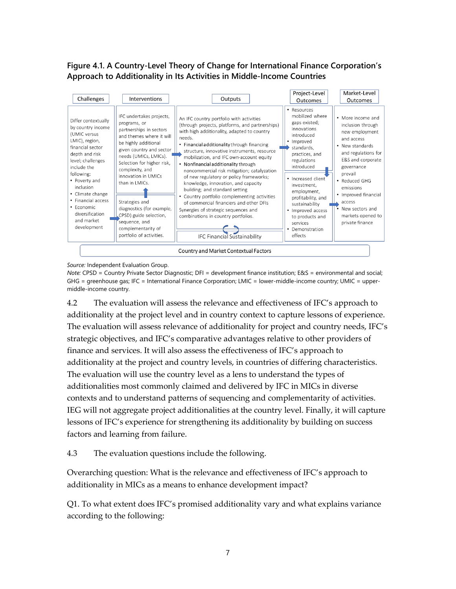### **Figure 4.1. A Country-Level Theory of Change for International Finance Corporation's Approach to Additionality in Its Activities in Middle-Income Countries**



*Source:* Independent Evaluation Group.

*Note:* CPSD = Country Private Sector Diagnostic; DFI = development finance institution; E&S = environmental and social; GHG = greenhouse gas; IFC = International Finance Corporation; LMIC = lower-middle-income country; UMIC = uppermiddle-income country.

4.2 The evaluation will assess the relevance and effectiveness of IFC's approach to additionality at the project level and in country context to capture lessons of experience. The evaluation will assess relevance of additionality for project and country needs, IFC's strategic objectives, and IFC's comparative advantages relative to other providers of finance and services. It will also assess the effectiveness of IFC's approach to additionality at the project and country levels, in countries of differing characteristics. The evaluation will use the country level as a lens to understand the types of additionalities most commonly claimed and delivered by IFC in MICs in diverse contexts and to understand patterns of sequencing and complementarity of activities. IEG will not aggregate project additionalities at the country level. Finally, it will capture lessons of IFC's experience for strengthening its additionality by building on success factors and learning from failure.

4.3 The evaluation questions include the following.

Overarching question: What is the relevance and effectiveness of IFC's approach to additionality in MICs as a means to enhance development impact?

Q1. To what extent does IFC's promised additionality vary and what explains variance according to the following: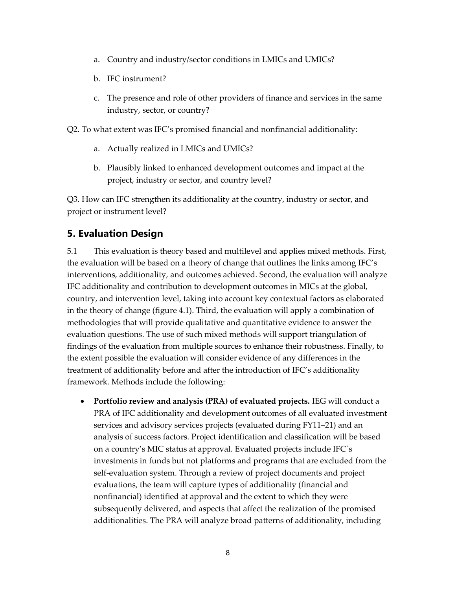- a. Country and industry/sector conditions in LMICs and UMICs?
- b. IFC instrument?
- c. The presence and role of other providers of finance and services in the same industry, sector, or country?
- Q2. To what extent was IFC's promised financial and nonfinancial additionality:
	- a. Actually realized in LMICs and UMICs?
	- b. Plausibly linked to enhanced development outcomes and impact at the project, industry or sector, and country level?

Q3. How can IFC strengthen its additionality at the country, industry or sector, and project or instrument level?

## **5. Evaluation Design**

5.1 This evaluation is theory based and multilevel and applies mixed methods. First, the evaluation will be based on a theory of change that outlines the links among IFC's interventions, additionality, and outcomes achieved. Second, the evaluation will analyze IFC additionality and contribution to development outcomes in MICs at the global, country, and intervention level, taking into account key contextual factors as elaborated in the theory of change (figure 4.1). Third, the evaluation will apply a combination of methodologies that will provide qualitative and quantitative evidence to answer the evaluation questions. The use of such mixed methods will support triangulation of findings of the evaluation from multiple sources to enhance their robustness. Finally, to the extent possible the evaluation will consider evidence of any differences in the treatment of additionality before and after the introduction of IFC's additionality framework. Methods include the following:

• **Portfolio review and analysis (PRA) of evaluated projects.** IEG will conduct a PRA of IFC additionality and development outcomes of all evaluated investment services and advisory services projects (evaluated during FY11–21) and an analysis of success factors. Project identification and classification will be based on a country's MIC status at approval. Evaluated projects include IFC´s investments in funds but not platforms and programs that are excluded from the self-evaluation system. Through a review of project documents and project evaluations, the team will capture types of additionality (financial and nonfinancial) identified at approval and the extent to which they were subsequently delivered, and aspects that affect the realization of the promised additionalities. The PRA will analyze broad patterns of additionality, including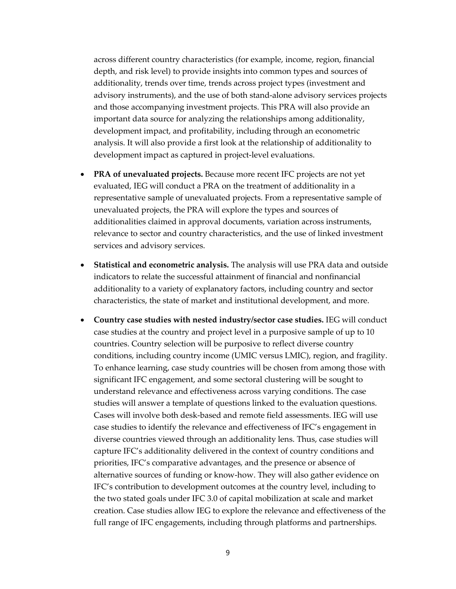across different country characteristics (for example, income, region, financial depth, and risk level) to provide insights into common types and sources of additionality, trends over time, trends across project types (investment and advisory instruments), and the use of both stand-alone advisory services projects and those accompanying investment projects. This PRA will also provide an important data source for analyzing the relationships among additionality, development impact, and profitability, including through an econometric analysis. It will also provide a first look at the relationship of additionality to development impact as captured in project-level evaluations.

- **PRA of unevaluated projects.** Because more recent IFC projects are not yet evaluated, IEG will conduct a PRA on the treatment of additionality in a representative sample of unevaluated projects. From a representative sample of unevaluated projects, the PRA will explore the types and sources of additionalities claimed in approval documents, variation across instruments, relevance to sector and country characteristics, and the use of linked investment services and advisory services.
- **Statistical and econometric analysis.** The analysis will use PRA data and outside indicators to relate the successful attainment of financial and nonfinancial additionality to a variety of explanatory factors, including country and sector characteristics, the state of market and institutional development, and more.
- **Country case studies with nested industry/sector case studies.** IEG will conduct case studies at the country and project level in a purposive sample of up to 10 countries. Country selection will be purposive to reflect diverse country conditions, including country income (UMIC versus LMIC), region, and fragility. To enhance learning, case study countries will be chosen from among those with significant IFC engagement, and some sectoral clustering will be sought to understand relevance and effectiveness across varying conditions. The case studies will answer a template of questions linked to the evaluation questions. Cases will involve both desk-based and remote field assessments. IEG will use case studies to identify the relevance and effectiveness of IFC's engagement in diverse countries viewed through an additionality lens. Thus, case studies will capture IFC's additionality delivered in the context of country conditions and priorities, IFC's comparative advantages, and the presence or absence of alternative sources of funding or know-how. They will also gather evidence on IFC's contribution to development outcomes at the country level, including to the two stated goals under IFC 3.0 of capital mobilization at scale and market creation. Case studies allow IEG to explore the relevance and effectiveness of the full range of IFC engagements, including through platforms and partnerships.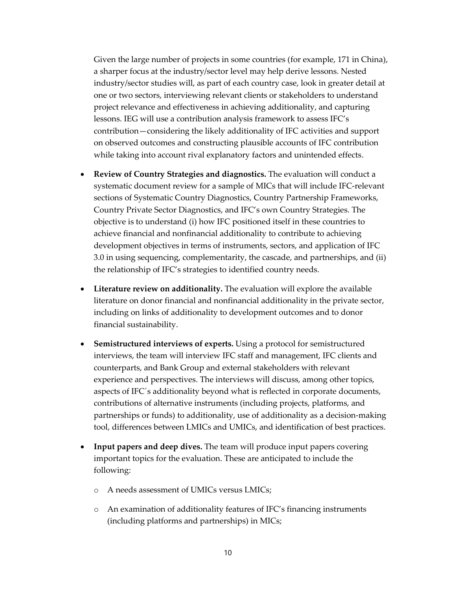Given the large number of projects in some countries (for example, 171 in China), a sharper focus at the industry/sector level may help derive lessons. Nested industry/sector studies will, as part of each country case, look in greater detail at one or two sectors, interviewing relevant clients or stakeholders to understand project relevance and effectiveness in achieving additionality, and capturing lessons. IEG will use a contribution analysis framework to assess IFC's contribution—considering the likely additionality of IFC activities and support on observed outcomes and constructing plausible accounts of IFC contribution while taking into account rival explanatory factors and unintended effects.

- **Review of Country Strategies and diagnostics.** The evaluation will conduct a systematic document review for a sample of MICs that will include IFC-relevant sections of Systematic Country Diagnostics, Country Partnership Frameworks, Country Private Sector Diagnostics, and IFC's own Country Strategies. The objective is to understand (i) how IFC positioned itself in these countries to achieve financial and nonfinancial additionality to contribute to achieving development objectives in terms of instruments, sectors, and application of IFC 3.0 in using sequencing, complementarity, the cascade, and partnerships, and (ii) the relationship of IFC's strategies to identified country needs.
- **Literature review on additionality.** The evaluation will explore the available literature on donor financial and nonfinancial additionality in the private sector, including on links of additionality to development outcomes and to donor financial sustainability.
- **Semistructured interviews of experts.** Using a protocol for semistructured interviews, the team will interview IFC staff and management, IFC clients and counterparts, and Bank Group and external stakeholders with relevant experience and perspectives. The interviews will discuss, among other topics, aspects of IFC´s additionality beyond what is reflected in corporate documents, contributions of alternative instruments (including projects, platforms, and partnerships or funds) to additionality, use of additionality as a decision-making tool, differences between LMICs and UMICs, and identification of best practices.
- **Input papers and deep dives.** The team will produce input papers covering important topics for the evaluation. These are anticipated to include the following:
	- o A needs assessment of UMICs versus LMICs;
	- o An examination of additionality features of IFC's financing instruments (including platforms and partnerships) in MICs;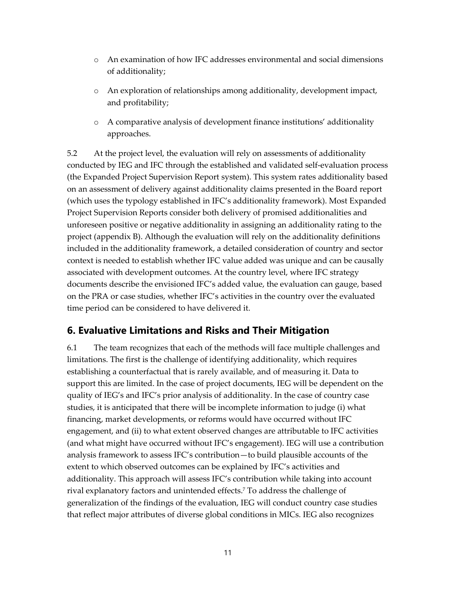- o An examination of how IFC addresses environmental and social dimensions of additionality;
- o An exploration of relationships among additionality, development impact, and profitability;
- o A comparative analysis of development finance institutions' additionality approaches.

5.2 At the project level, the evaluation will rely on assessments of additionality conducted by IEG and IFC through the established and validated self-evaluation process (the Expanded Project Supervision Report system). This system rates additionality based on an assessment of delivery against additionality claims presented in the Board report (which uses the typology established in IFC's additionality framework). Most Expanded Project Supervision Reports consider both delivery of promised additionalities and unforeseen positive or negative additionality in assigning an additionality rating to the project (appendix B). Although the evaluation will rely on the additionality definitions included in the additionality framework, a detailed consideration of country and sector context is needed to establish whether IFC value added was unique and can be causally associated with development outcomes. At the country level, where IFC strategy documents describe the envisioned IFC's added value, the evaluation can gauge, based on the PRA or case studies, whether IFC's activities in the country over the evaluated time period can be considered to have delivered it.

## **6. Evaluative Limitations and Risks and Their Mitigation**

6.1 The team recognizes that each of the methods will face multiple challenges and limitations. The first is the challenge of identifying additionality, which requires establishing a counterfactual that is rarely available, and of measuring it. Data to support this are limited. In the case of project documents, IEG will be dependent on the quality of IEG's and IFC's prior analysis of additionality. In the case of country case studies, it is anticipated that there will be incomplete information to judge (i) what financing, market developments, or reforms would have occurred without IFC engagement, and (ii) to what extent observed changes are attributable to IFC activities (and what might have occurred without IFC's engagement). IEG will use a contribution analysis framework to assess IFC's contribution—to build plausible accounts of the extent to which observed outcomes can be explained by IFC's activities and additionality. This approach will assess IFC's contribution while taking into account rival explanatory factors and unintended effects. <sup>7</sup> To address the challenge of generalization of the findings of the evaluation, IEG will conduct country case studies that reflect major attributes of diverse global conditions in MICs. IEG also recognizes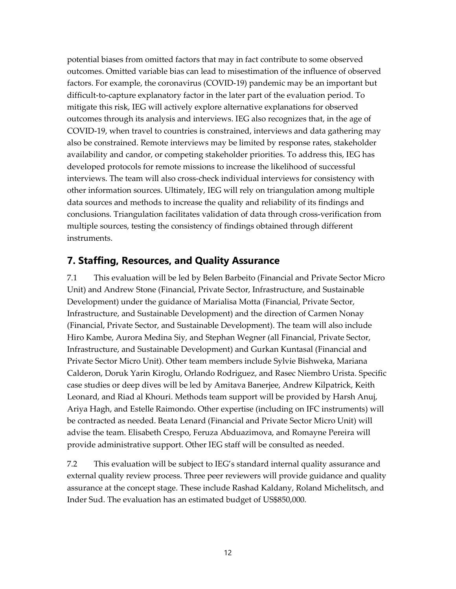potential biases from omitted factors that may in fact contribute to some observed outcomes. Omitted variable bias can lead to misestimation of the influence of observed factors. For example, the coronavirus (COVID-19) pandemic may be an important but difficult-to-capture explanatory factor in the later part of the evaluation period. To mitigate this risk, IEG will actively explore alternative explanations for observed outcomes through its analysis and interviews. IEG also recognizes that, in the age of COVID-19, when travel to countries is constrained, interviews and data gathering may also be constrained. Remote interviews may be limited by response rates, stakeholder availability and candor, or competing stakeholder priorities. To address this, IEG has developed protocols for remote missions to increase the likelihood of successful interviews. The team will also cross-check individual interviews for consistency with other information sources. Ultimately, IEG will rely on triangulation among multiple data sources and methods to increase the quality and reliability of its findings and conclusions. Triangulation facilitates validation of data through cross-verification from multiple sources, testing the consistency of findings obtained through different instruments.

### **7. Staffing, Resources, and Quality Assurance**

7.1 This evaluation will be led by Belen Barbeito (Financial and Private Sector Micro Unit) and Andrew Stone (Financial, Private Sector, Infrastructure, and Sustainable Development) under the guidance of Marialisa Motta (Financial, Private Sector, Infrastructure, and Sustainable Development) and the direction of Carmen Nonay (Financial, Private Sector, and Sustainable Development). The team will also include Hiro Kambe, Aurora Medina Siy, and Stephan Wegner (all Financial, Private Sector, Infrastructure, and Sustainable Development) and Gurkan Kuntasal (Financial and Private Sector Micro Unit). Other team members include Sylvie Bishweka, Mariana Calderon, Doruk Yarin Kiroglu, Orlando Rodriguez, and Rasec Niembro Urista. Specific case studies or deep dives will be led by Amitava Banerjee, Andrew Kilpatrick, Keith Leonard, and Riad al Khouri. Methods team support will be provided by Harsh Anuj, Ariya Hagh, and Estelle Raimondo. Other expertise (including on IFC instruments) will be contracted as needed. Beata Lenard (Financial and Private Sector Micro Unit) will advise the team. Elisabeth Crespo, Feruza Abduazimova, and Romayne Pereira will provide administrative support. Other IEG staff will be consulted as needed.

7.2 This evaluation will be subject to IEG's standard internal quality assurance and external quality review process. Three peer reviewers will provide guidance and quality assurance at the concept stage. These include Rashad Kaldany, Roland Michelitsch, and Inder Sud. The evaluation has an estimated budget of US\$850,000.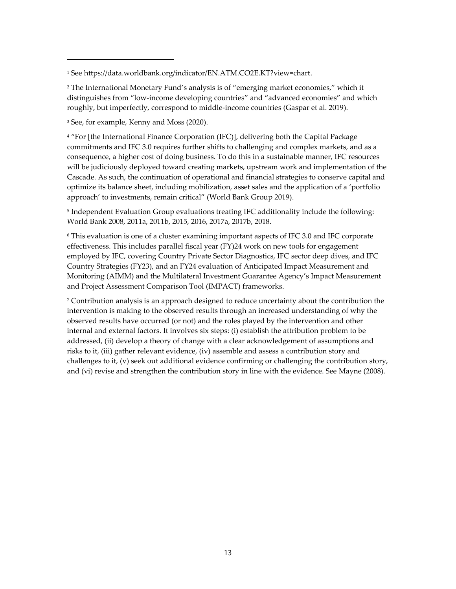<sup>2</sup> The International Monetary Fund's analysis is of "emerging market economies," which it distinguishes from "low-income developing countries" and "advanced economies" and which roughly, but imperfectly, correspond to middle-income countries (Gaspar et al. 2019).

<sup>3</sup> See, for example, Kenny and Moss (2020).

<sup>4</sup> "For [the International Finance Corporation (IFC)], delivering both the Capital Package commitments and IFC 3.0 requires further shifts to challenging and complex markets, and as a consequence, a higher cost of doing business. To do this in a sustainable manner, IFC resources will be judiciously deployed toward creating markets, upstream work and implementation of the Cascade. As such, the continuation of operational and financial strategies to conserve capital and optimize its balance sheet, including mobilization, asset sales and the application of a 'portfolio approach' to investments, remain critical" (World Bank Group 2019).

5 Independent Evaluation Group evaluations treating IFC additionality include the following: World Bank 2008, 2011a, 2011b, 2015, 2016, 2017a, 2017b, 2018.

<sup>6</sup> This evaluation is one of a cluster examining important aspects of IFC 3.0 and IFC corporate effectiveness. This includes parallel fiscal year (FY)24 work on new tools for engagement employed by IFC, covering Country Private Sector Diagnostics, IFC sector deep dives, and IFC Country Strategies (FY23), and an FY24 evaluation of Anticipated Impact Measurement and Monitoring (AIMM) and the Multilateral Investment Guarantee Agency's Impact Measurement and Project Assessment Comparison Tool (IMPACT) frameworks.

 $7$  Contribution analysis is an approach designed to reduce uncertainty about the contribution the intervention is making to the observed results through an increased understanding of why the observed results have occurred (or not) and the roles played by the intervention and other internal and external factors. It involves six steps: (i) establish the attribution problem to be addressed, (ii) develop a theory of change with a clear acknowledgement of assumptions and risks to it, (iii) gather relevant evidence, (iv) assemble and assess a contribution story and challenges to it, (v) seek out additional evidence confirming or challenging the contribution story, and (vi) revise and strengthen the contribution story in line with the evidence. See Mayne (2008).

<sup>1</sup> See [https://data.worldbank.org/indicator/EN.ATM.CO2E.KT?view=chart.](https://data.worldbank.org/indicator/EN.ATM.CO2E.KT?view=chart)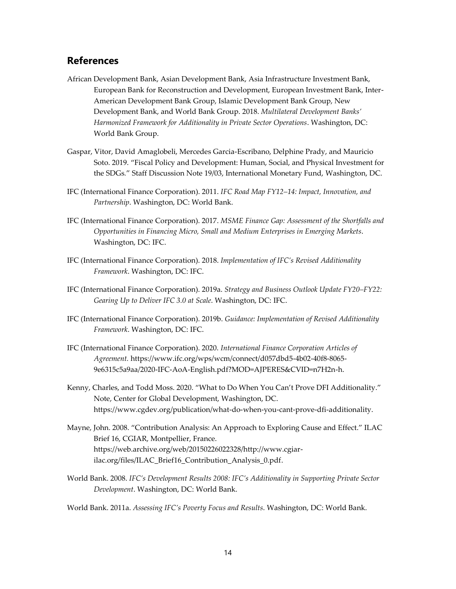### **References**

- African Development Bank, Asian Development Bank, Asia Infrastructure Investment Bank, European Bank for Reconstruction and Development, European Investment Bank, Inter-American Development Bank Group, Islamic Development Bank Group, New Development Bank, and World Bank Group. 2018. *Multilateral Development Banks' Harmonized Framework for Additionality in Private Sector Operations*. Washington, DC: World Bank Group.
- Gaspar, Vitor, David Amaglobeli, Mercedes Garcia-Escribano, Delphine Prady, and Mauricio Soto. 2019. "Fiscal Policy and Development: Human, Social, and Physical Investment for the SDGs*.*" Staff Discussion Note 19/03, International Monetary Fund, Washington, DC.
- IFC (International Finance Corporation). 2011. *IFC Road Map FY12–14: Impact, Innovation, and Partnership*. Washington, DC: World Bank.
- IFC (International Finance Corporation). 2017. *MSME Finance Gap: Assessment of the Shortfalls and Opportunities in Financing Micro, Small and Medium Enterprises in Emerging Markets*. Washington, DC: IFC.
- IFC (International Finance Corporation). 2018. *Implementation of IFC's Revised Additionality Framework*. Washington, DC: IFC.
- IFC (International Finance Corporation). 2019a. *Strategy and Business Outlook Update FY20–FY22: Gearing Up to Deliver IFC 3.0 at Scale*. Washington, DC: IFC.
- IFC (International Finance Corporation). 2019b. *Guidance: Implementation of Revised Additionality Framework*. Washington, DC: IFC.
- IFC (International Finance Corporation). 2020. *International Finance Corporation Articles of Agreement.* https://www.ifc.org/wps/wcm/connect/d057dbd5-4b02-40f8-8065- 9e6315c5a9aa/2020-IFC-AoA-English.pdf?MOD=AJPERES&CVID=n7H2n-h.
- Kenny, Charles, and Todd Moss. 2020. "What to Do When You Can't Prove DFI Additionality." Note, Center for Global Development, Washington, DC. [https://www.cgdev.org/publication/what-do-when-you-cant-prove-dfi-additionality.](https://www.cgdev.org/publication/what-do-when-you-cant-prove-dfi-additionality)
- Mayne, John. 2008. "Contribution Analysis: An Approach to Exploring Cause and Effect." ILAC Brief 16, CGIAR, Montpellier, France. [https://web.archive.org/web/20150226022328/http://www.cgiar](https://web.archive.org/web/20150226022328/http:/www.cgiar-ilac.org/files/ILAC_Brief16_Contribution_Analysis_0.pdf)[ilac.org/files/ILAC\\_Brief16\\_Contribution\\_Analysis\\_0.pdf.](https://web.archive.org/web/20150226022328/http:/www.cgiar-ilac.org/files/ILAC_Brief16_Contribution_Analysis_0.pdf)
- World Bank. 2008. *IFC's Development Results 2008: IFC's Additionality in Supporting Private Sector Development*. Washington, DC: World Bank.

World Bank. 2011a. *Assessing IFC's Poverty Focus and Results*. Washington, DC: World Bank.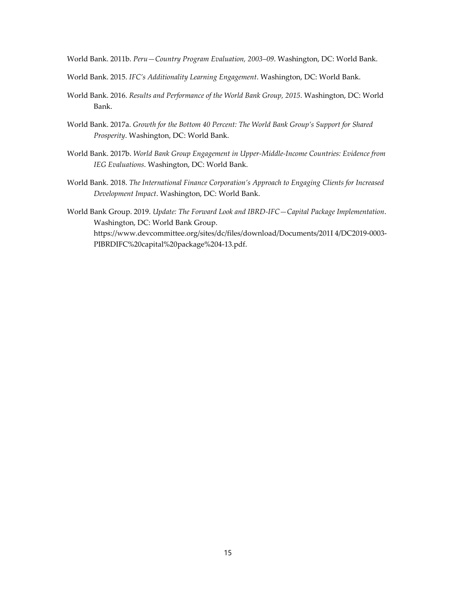World Bank. 2011b. *Peru—Country Program Evaluation, 2003–09*. Washington, DC: World Bank.

- World Bank. 2015. *IFC's Additionality Learning Engagement*. Washington, DC: World Bank.
- World Bank. 2016. *Results and Performance of the World Bank Group, 2015*. Washington, DC: World Bank.
- World Bank. 2017a. *Growth for the Bottom 40 Percent: The World Bank Group's Support for Shared Prosperity*. Washington, DC: World Bank.
- World Bank. 2017b. *World Bank Group Engagement in Upper-Middle-Income Countries: Evidence from IEG Evaluations*. Washington, DC: World Bank.
- World Bank. 2018. *The International Finance Corporation's Approach to Engaging Clients for Increased Development Impact*. Washington, DC: World Bank.
- World Bank Group. 2019. *Update: The Forward Look and IBRD-IFC—Capital Package Implementation*. Washington, DC: World Bank Group. [https://www.devcommittee.org/sites/dc/files/download/Documents/201I 4/DC2019-0003-](https://www.devcommittee.org/sites/dc/files/download/Documents/2019-04/DC2019-0003-PIBRDIFC%20capital%20package%204-13.pdf) [PIBRDIFC%20capital%20package%204-13.pdf.](https://www.devcommittee.org/sites/dc/files/download/Documents/2019-04/DC2019-0003-PIBRDIFC%20capital%20package%204-13.pdf)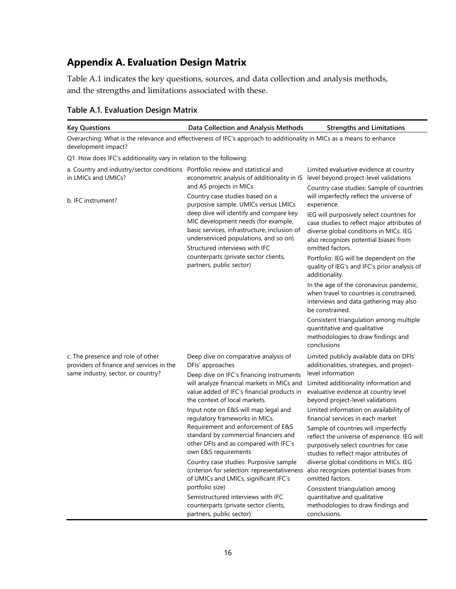# **Appendix A. Evaluation Design Matrix**

Table A.1 indicates the key questions, sources, and data collection and analysis methods, and the strengths and limitations associated with these.

| <b>Key Questions</b>                                                                                                | Data Collection and Analysis Methods                                                                                                                                                                                                                                                                                           | <b>Strengths and Limitations</b>                                                                                                                                                                                                                                                                      |
|---------------------------------------------------------------------------------------------------------------------|--------------------------------------------------------------------------------------------------------------------------------------------------------------------------------------------------------------------------------------------------------------------------------------------------------------------------------|-------------------------------------------------------------------------------------------------------------------------------------------------------------------------------------------------------------------------------------------------------------------------------------------------------|
| development impact?                                                                                                 | Overarching: What is the relevance and effectiveness of IFC's approach to additionality in MICs as a means to enhance                                                                                                                                                                                                          |                                                                                                                                                                                                                                                                                                       |
| Q1. How does IFC's additionality vary in relation to the following:                                                 |                                                                                                                                                                                                                                                                                                                                |                                                                                                                                                                                                                                                                                                       |
| a. Country and industry/sector conditions Portfolio review and statistical and<br>in LMICs and UMICs?               | econometric analysis of additionality in IS<br>and AS projects in MICs                                                                                                                                                                                                                                                         | Limited evaluative evidence at country<br>level beyond project-level validations<br>Country case studies: Sample of countries                                                                                                                                                                         |
| b. IFC instrument?                                                                                                  | Country case studies based on a<br>purposive sample. UMICs versus LMICs<br>deep dive will identify and compare key<br>MIC development needs (for example,<br>basic services, infrastructure, inclusion of<br>underserviced populations, and so on).<br>Structured interviews with IFC<br>counterparts (private sector clients, | will imperfectly reflect the universe of<br>experience.<br>IEG will purposively select countries for<br>case studies to reflect major attributes of<br>diverse global conditions in MICs. IEG<br>also recognizes potential biases from<br>omitted factors.<br>Portfolio: IEG will be dependent on the |
|                                                                                                                     | partners, public sector)                                                                                                                                                                                                                                                                                                       | quality of IEG's and IFC's prior analysis of<br>additionality.<br>In the age of the coronavirus pandemic,<br>when travel to countries is constrained,<br>interviews and data gathering may also<br>be constrained.                                                                                    |
|                                                                                                                     |                                                                                                                                                                                                                                                                                                                                | Consistent triangulation among multiple<br>quantitative and qualitative<br>methodologies to draw findings and<br>conclusions                                                                                                                                                                          |
| c. The presence and role of other<br>providers of finance and services in the<br>same industry, sector, or country? | Deep dive on comparative analysis of<br>DFIs' approaches<br>Deep dive on IFC's financing instruments                                                                                                                                                                                                                           | Limited publicly available data on DFIs'<br>additionalities, strategies, and project-<br>level information                                                                                                                                                                                            |
|                                                                                                                     | will analyze financial markets in MICs and<br>value added of IFC's financial products in<br>the context of local markets.                                                                                                                                                                                                      | Limited additionality information and<br>evaluative evidence at country level<br>beyond project-level validations                                                                                                                                                                                     |
|                                                                                                                     | Input note on E&S will map legal and<br>regulatory frameworks in MICs.                                                                                                                                                                                                                                                         | Limited information on availability of<br>financial services in each market                                                                                                                                                                                                                           |
|                                                                                                                     | Requirement and enforcement of E&S<br>standard by commercial financiers and<br>other DFIs and as compared with IFC's<br>own E&S requirements                                                                                                                                                                                   | Sample of countries will imperfectly<br>reflect the universe of experience. IEG will<br>purposively select countries for case<br>studies to reflect major attributes of                                                                                                                               |
|                                                                                                                     | Country case studies: Purposive sample<br>(criterion for selection: representativeness<br>of UMICs and LMICs, significant IFC's<br>portfolio size)                                                                                                                                                                             | diverse global conditions in MICs. IEG<br>also recognizes potential biases from<br>omitted factors.<br>Consistent triangulation among                                                                                                                                                                 |
|                                                                                                                     | Semistructured interviews with IFC<br>counterparts (private sector clients,<br>partners, public sector)                                                                                                                                                                                                                        | quantitative and qualitative<br>methodologies to draw findings and<br>conclusions.                                                                                                                                                                                                                    |

#### **Table A.1. Evaluation Design Matrix**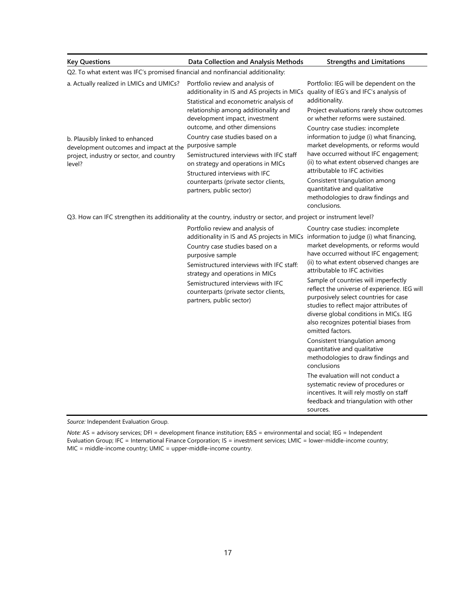| <b>Key Questions</b>                                                                                                            | Data Collection and Analysis Methods                                                                                                                                                                                                                                                                                                                                       | <b>Strengths and Limitations</b>                                                                                                                                                                                                                                                                                                                                                                                                                                                                                                                                                                          |  |  |  |  |
|---------------------------------------------------------------------------------------------------------------------------------|----------------------------------------------------------------------------------------------------------------------------------------------------------------------------------------------------------------------------------------------------------------------------------------------------------------------------------------------------------------------------|-----------------------------------------------------------------------------------------------------------------------------------------------------------------------------------------------------------------------------------------------------------------------------------------------------------------------------------------------------------------------------------------------------------------------------------------------------------------------------------------------------------------------------------------------------------------------------------------------------------|--|--|--|--|
| Q2. To what extent was IFC's promised financial and nonfinancial additionality:                                                 |                                                                                                                                                                                                                                                                                                                                                                            |                                                                                                                                                                                                                                                                                                                                                                                                                                                                                                                                                                                                           |  |  |  |  |
| a. Actually realized in LMICs and UMICs?                                                                                        | Portfolio review and analysis of<br>additionality in IS and AS projects in MICs<br>Statistical and econometric analysis of<br>relationship among additionality and<br>development impact, investment<br>outcome, and other dimensions                                                                                                                                      | Portfolio: IEG will be dependent on the<br>quality of IEG's and IFC's analysis of<br>additionality.<br>Project evaluations rarely show outcomes<br>or whether reforms were sustained.<br>Country case studies: incomplete                                                                                                                                                                                                                                                                                                                                                                                 |  |  |  |  |
| b. Plausibly linked to enhanced<br>development outcomes and impact at the<br>project, industry or sector, and country<br>level? | Country case studies based on a<br>purposive sample<br>Semistructured interviews with IFC staff<br>on strategy and operations in MICs<br>Structured interviews with IFC<br>counterparts (private sector clients,<br>partners, public sector)                                                                                                                               | information to judge (i) what financing,<br>market developments, or reforms would<br>have occurred without IFC engagement;<br>(ii) to what extent observed changes are<br>attributable to IFC activities<br>Consistent triangulation among<br>quantitative and qualitative<br>methodologies to draw findings and<br>conclusions.                                                                                                                                                                                                                                                                          |  |  |  |  |
|                                                                                                                                 | Q3. How can IFC strengthen its additionality at the country, industry or sector, and project or instrument level?                                                                                                                                                                                                                                                          |                                                                                                                                                                                                                                                                                                                                                                                                                                                                                                                                                                                                           |  |  |  |  |
|                                                                                                                                 | Portfolio review and analysis of<br>additionality in IS and AS projects in MICs information to judge (i) what financing,<br>Country case studies based on a<br>purposive sample<br>Semistructured interviews with IFC staff:<br>strategy and operations in MICs<br>Semistructured interviews with IFC<br>counterparts (private sector clients,<br>partners, public sector) | Country case studies: incomplete<br>market developments, or reforms would<br>have occurred without IFC engagement;<br>(ii) to what extent observed changes are<br>attributable to IFC activities<br>Sample of countries will imperfectly<br>reflect the universe of experience. IEG will<br>purposively select countries for case<br>studies to reflect major attributes of<br>diverse global conditions in MICs. IEG<br>also recognizes potential biases from<br>omitted factors.<br>Consistent triangulation among<br>quantitative and qualitative<br>methodologies to draw findings and<br>conclusions |  |  |  |  |
|                                                                                                                                 |                                                                                                                                                                                                                                                                                                                                                                            | The evaluation will not conduct a<br>systematic review of procedures or<br>incentives. It will rely mostly on staff<br>feedback and triangulation with other<br>sources.                                                                                                                                                                                                                                                                                                                                                                                                                                  |  |  |  |  |

*Source:* Independent Evaluation Group.

*Note:* AS = advisory services; DFI = development finance institution; E&S = environmental and social; IEG = Independent Evaluation Group; IFC = International Finance Corporation; IS = investment services; LMIC = lower-middle-income country; MIC = middle-income country; UMIC = upper-middle-income country.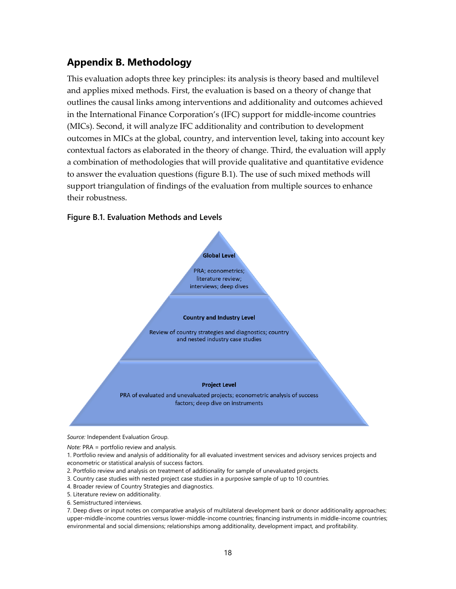## **Appendix B. Methodology**

This evaluation adopts three key principles: its analysis is theory based and multilevel and applies mixed methods. First, the evaluation is based on a theory of change that outlines the causal links among interventions and additionality and outcomes achieved in the International Finance Corporation's (IFC) support for middle-income countries (MICs). Second, it will analyze IFC additionality and contribution to development outcomes in MICs at the global, country, and intervention level, taking into account key contextual factors as elaborated in the theory of change. Third, the evaluation will apply a combination of methodologies that will provide qualitative and quantitative evidence to answer the evaluation questions (figure B.1). The use of such mixed methods will support triangulation of findings of the evaluation from multiple sources to enhance their robustness.

#### **Figure B.1. Evaluation Methods and Levels**



*Source:* Independent Evaluation Group.

*Note:* PRA = portfolio review and analysis.

1. Portfolio review and analysis of additionality for all evaluated investment services and advisory services projects and econometric or statistical analysis of success factors.

- 2. Portfolio review and analysis on treatment of additionality for sample of unevaluated projects.
- 3. Country case studies with nested project case studies in a purposive sample of up to 10 countries.
- 4. Broader review of Country Strategies and diagnostics.
- 5. Literature review on additionality.
- 6. Semistructured interviews.

7. Deep dives or input notes on comparative analysis of multilateral development bank or donor additionality approaches; upper-middle-income countries versus lower-middle-income countries; financing instruments in middle-income countries; environmental and social dimensions; relationships among additionality, development impact, and profitability.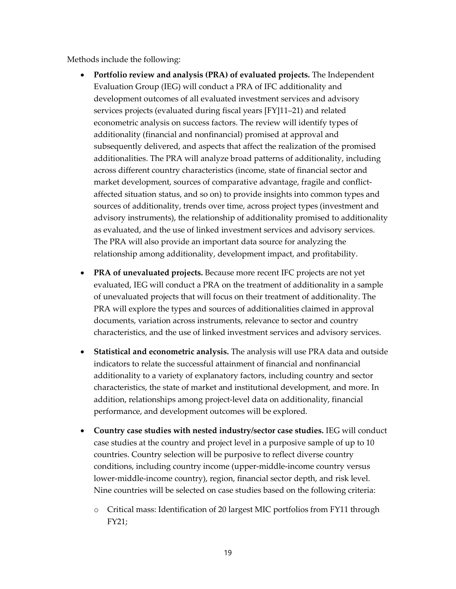Methods include the following:

- **Portfolio review and analysis (PRA) of evaluated projects.** The Independent Evaluation Group (IEG) will conduct a PRA of IFC additionality and development outcomes of all evaluated investment services and advisory services projects (evaluated during fiscal years [FY]11–21) and related econometric analysis on success factors. The review will identify types of additionality (financial and nonfinancial) promised at approval and subsequently delivered, and aspects that affect the realization of the promised additionalities. The PRA will analyze broad patterns of additionality, including across different country characteristics (income, state of financial sector and market development, sources of comparative advantage, fragile and conflictaffected situation status, and so on) to provide insights into common types and sources of additionality, trends over time, across project types (investment and advisory instruments), the relationship of additionality promised to additionality as evaluated, and the use of linked investment services and advisory services. The PRA will also provide an important data source for analyzing the relationship among additionality, development impact, and profitability.
- **PRA of unevaluated projects.** Because more recent IFC projects are not yet evaluated, IEG will conduct a PRA on the treatment of additionality in a sample of unevaluated projects that will focus on their treatment of additionality. The PRA will explore the types and sources of additionalities claimed in approval documents, variation across instruments, relevance to sector and country characteristics, and the use of linked investment services and advisory services.
- **Statistical and econometric analysis.** The analysis will use PRA data and outside indicators to relate the successful attainment of financial and nonfinancial additionality to a variety of explanatory factors, including country and sector characteristics, the state of market and institutional development, and more. In addition, relationships among project-level data on additionality, financial performance, and development outcomes will be explored.
- **Country case studies with nested industry/sector case studies.** IEG will conduct case studies at the country and project level in a purposive sample of up to 10 countries. Country selection will be purposive to reflect diverse country conditions, including country income (upper-middle-income country versus lower-middle-income country), region, financial sector depth, and risk level. Nine countries will be selected on case studies based on the following criteria:
	- o Critical mass: Identification of 20 largest MIC portfolios from FY11 through FY21;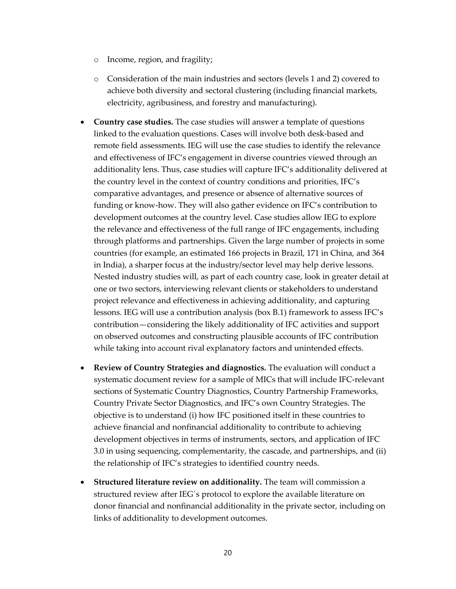- o Income, region, and fragility;
- o Consideration of the main industries and sectors (levels 1 and 2) covered to achieve both diversity and sectoral clustering (including financial markets, electricity, agribusiness, and forestry and manufacturing).
- **Country case studies.** The case studies will answer a template of questions linked to the evaluation questions. Cases will involve both desk-based and remote field assessments. IEG will use the case studies to identify the relevance and effectiveness of IFC's engagement in diverse countries viewed through an additionality lens. Thus, case studies will capture IFC's additionality delivered at the country level in the context of country conditions and priorities, IFC's comparative advantages, and presence or absence of alternative sources of funding or know-how. They will also gather evidence on IFC's contribution to development outcomes at the country level. Case studies allow IEG to explore the relevance and effectiveness of the full range of IFC engagements, including through platforms and partnerships. Given the large number of projects in some countries (for example, an estimated 166 projects in Brazil, 171 in China, and 364 in India), a sharper focus at the industry/sector level may help derive lessons. Nested industry studies will, as part of each country case, look in greater detail at one or two sectors, interviewing relevant clients or stakeholders to understand project relevance and effectiveness in achieving additionality, and capturing lessons. IEG will use a contribution analysis (box B.1) framework to assess IFC's contribution—considering the likely additionality of IFC activities and support on observed outcomes and constructing plausible accounts of IFC contribution while taking into account rival explanatory factors and unintended effects.
- **Review of Country Strategies and diagnostics.** The evaluation will conduct a systematic document review for a sample of MICs that will include IFC-relevant sections of Systematic Country Diagnostics, Country Partnership Frameworks, Country Private Sector Diagnostics, and IFC's own Country Strategies. The objective is to understand (i) how IFC positioned itself in these countries to achieve financial and nonfinancial additionality to contribute to achieving development objectives in terms of instruments, sectors, and application of IFC 3.0 in using sequencing, complementarity, the cascade, and partnerships, and (ii) the relationship of IFC's strategies to identified country needs.
- **Structured literature review on additionality.** The team will commission a structured review after IEG´s protocol to explore the available literature on donor financial and nonfinancial additionality in the private sector, including on links of additionality to development outcomes.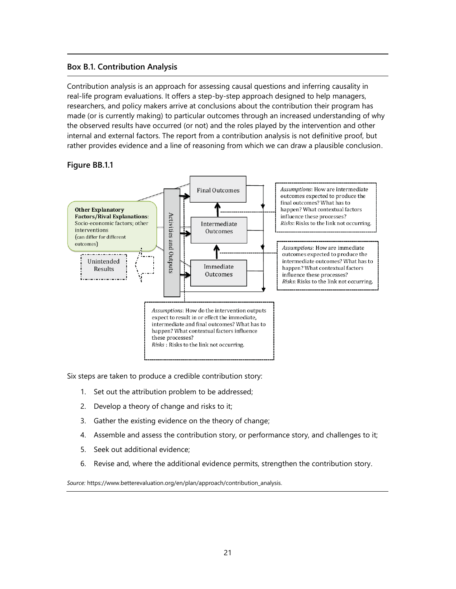#### **Box B.1. Contribution Analysis**

Contribution analysis is an approach for assessing causal questions and inferring causality in real-life program evaluations. It offers a step-by-step approach designed to help managers, researchers, and policy makers arrive at conclusions about the contribution their program has made (or is currently making) to particular outcomes through an increased understanding of why the observed results have occurred (or not) and the roles played by the intervention and other internal and external factors. The report from a contribution analysis is not definitive proof, but rather provides evidence and a line of reasoning from which we can draw a plausible conclusion.

#### **Figure BB.1.1**



Six steps are taken to produce a credible contribution story:

- 1. Set out the attribution problem to be addressed;
- 2. Develop a theory of change and risks to it;
- 3. Gather the existing evidence on the theory of change;
- 4. Assemble and assess the contribution story, or performance story, and challenges to it;
- 5. Seek out additional evidence;
- 6. Revise and, where the additional evidence permits, strengthen the contribution story.

*Source:* https://www.betterevaluation.org/en/plan/approach/contribution\_analysis.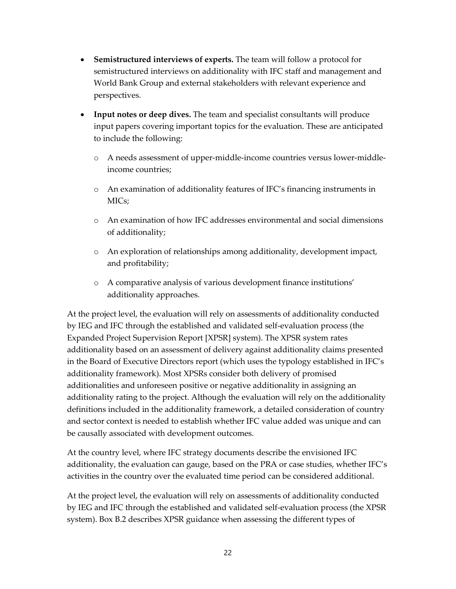- **Semistructured interviews of experts.** The team will follow a protocol for semistructured interviews on additionality with IFC staff and management and World Bank Group and external stakeholders with relevant experience and perspectives.
- **Input notes or deep dives.** The team and specialist consultants will produce input papers covering important topics for the evaluation. These are anticipated to include the following:
	- o A needs assessment of upper-middle-income countries versus lower-middleincome countries;
	- o An examination of additionality features of IFC's financing instruments in MICs;
	- o An examination of how IFC addresses environmental and social dimensions of additionality;
	- o An exploration of relationships among additionality, development impact, and profitability;
	- o A comparative analysis of various development finance institutions' additionality approaches.

At the project level, the evaluation will rely on assessments of additionality conducted by IEG and IFC through the established and validated self-evaluation process (the Expanded Project Supervision Report [XPSR] system). The XPSR system rates additionality based on an assessment of delivery against additionality claims presented in the Board of Executive Directors report (which uses the typology established in IFC's additionality framework). Most XPSRs consider both delivery of promised additionalities and unforeseen positive or negative additionality in assigning an additionality rating to the project. Although the evaluation will rely on the additionality definitions included in the additionality framework, a detailed consideration of country and sector context is needed to establish whether IFC value added was unique and can be causally associated with development outcomes.

At the country level, where IFC strategy documents describe the envisioned IFC additionality, the evaluation can gauge, based on the PRA or case studies, whether IFC's activities in the country over the evaluated time period can be considered additional.

At the project level, the evaluation will rely on assessments of additionality conducted by IEG and IFC through the established and validated self-evaluation process (the XPSR system). Box B.2 describes XPSR guidance when assessing the different types of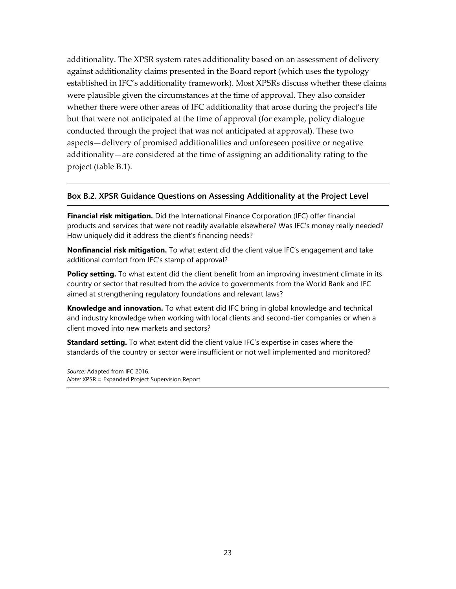additionality. The XPSR system rates additionality based on an assessment of delivery against additionality claims presented in the Board report (which uses the typology established in IFC's additionality framework). Most XPSRs discuss whether these claims were plausible given the circumstances at the time of approval. They also consider whether there were other areas of IFC additionality that arose during the project's life but that were not anticipated at the time of approval (for example, policy dialogue conducted through the project that was not anticipated at approval). These two aspects—delivery of promised additionalities and unforeseen positive or negative additionality—are considered at the time of assigning an additionality rating to the project (table B.1).

#### **Box B.2. XPSR Guidance Questions on Assessing Additionality at the Project Level**

**Financial risk mitigation.** Did the International Finance Corporation (IFC) offer financial products and services that were not readily available elsewhere? Was IFC's money really needed? How uniquely did it address the client's financing needs?

**Nonfinancial risk mitigation.** To what extent did the client value IFC's engagement and take additional comfort from IFC's stamp of approval?

**Policy setting.** To what extent did the client benefit from an improving investment climate in its country or sector that resulted from the advice to governments from the World Bank and IFC aimed at strengthening regulatory foundations and relevant laws?

**Knowledge and innovation.** To what extent did IFC bring in global knowledge and technical and industry knowledge when working with local clients and second-tier companies or when a client moved into new markets and sectors?

**Standard setting.** To what extent did the client value IFC's expertise in cases where the standards of the country or sector were insufficient or not well implemented and monitored?

*Source:* Adapted from IFC 2016. *Note:* XPSR = Expanded Project Supervision Report.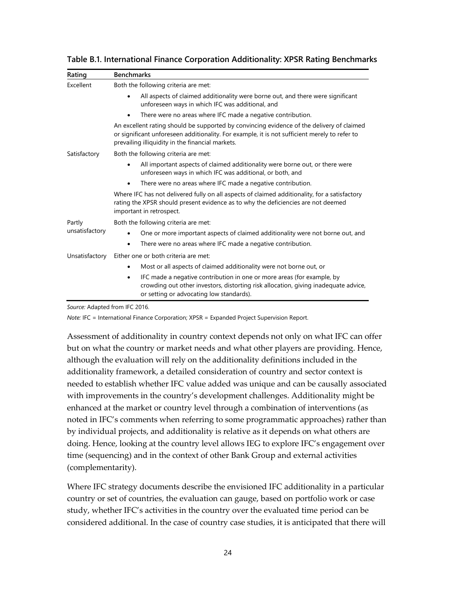| Rating                   | <b>Benchmarks</b>                                                                                                                                                                                                                              |  |
|--------------------------|------------------------------------------------------------------------------------------------------------------------------------------------------------------------------------------------------------------------------------------------|--|
| Excellent                | Both the following criteria are met:                                                                                                                                                                                                           |  |
|                          | All aspects of claimed additionality were borne out, and there were significant<br>unforeseen ways in which IFC was additional, and                                                                                                            |  |
|                          | There were no areas where IFC made a negative contribution.                                                                                                                                                                                    |  |
|                          | An excellent rating should be supported by convincing evidence of the delivery of claimed<br>or significant unforeseen additionality. For example, it is not sufficient merely to refer to<br>prevailing illiquidity in the financial markets. |  |
| Satisfactory             | Both the following criteria are met:                                                                                                                                                                                                           |  |
|                          | All important aspects of claimed additionality were borne out, or there were<br>unforeseen ways in which IFC was additional, or both, and                                                                                                      |  |
|                          | There were no areas where IFC made a negative contribution.                                                                                                                                                                                    |  |
|                          | Where IFC has not delivered fully on all aspects of claimed additionality, for a satisfactory<br>rating the XPSR should present evidence as to why the deficiencies are not deemed<br>important in retrospect.                                 |  |
| Partly<br>unsatisfactory | Both the following criteria are met:                                                                                                                                                                                                           |  |
|                          | One or more important aspects of claimed additionality were not borne out, and                                                                                                                                                                 |  |
|                          | There were no areas where IFC made a negative contribution.<br>٠                                                                                                                                                                               |  |
| Unsatisfactory           | Either one or both criteria are met:                                                                                                                                                                                                           |  |
|                          | Most or all aspects of claimed additionality were not borne out, or                                                                                                                                                                            |  |
|                          | IFC made a negative contribution in one or more areas (for example, by<br>٠<br>crowding out other investors, distorting risk allocation, giving inadequate advice,<br>or setting or advocating low standards).                                 |  |

**Table B.1. International Finance Corporation Additionality: XPSR Rating Benchmarks**

*Source:* Adapted from IFC 2016.

*Note:* IFC = International Finance Corporation; XPSR = Expanded Project Supervision Report.

Assessment of additionality in country context depends not only on what IFC can offer but on what the country or market needs and what other players are providing. Hence, although the evaluation will rely on the additionality definitions included in the additionality framework, a detailed consideration of country and sector context is needed to establish whether IFC value added was unique and can be causally associated with improvements in the country's development challenges. Additionality might be enhanced at the market or country level through a combination of interventions (as noted in IFC's comments when referring to some programmatic approaches) rather than by individual projects, and additionality is relative as it depends on what others are doing. Hence, looking at the country level allows IEG to explore IFC's engagement over time (sequencing) and in the context of other Bank Group and external activities (complementarity).

Where IFC strategy documents describe the envisioned IFC additionality in a particular country or set of countries, the evaluation can gauge, based on portfolio work or case study, whether IFC's activities in the country over the evaluated time period can be considered additional. In the case of country case studies, it is anticipated that there will